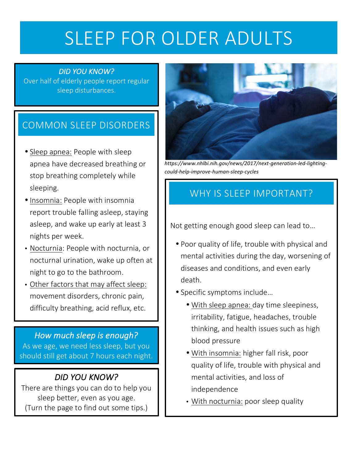# SLEEP FOR OLDER ADULTS

#### *DID YOU KNOW?*

Over half of elderly people report regular sleep disturbances.

## COMMON SLEEP DISORDERS

- Sleep apnea: People with sleep apnea have decreased breathing or stop breathing completely while sleeping.
- Insomnia: People with insomnia report trouble falling asleep, staying asleep, and wake up early at least 3 nights per week.
- Nocturnia: People with nocturnia, or nocturnal urination, wake up often at night to go to the bathroom.
- Other factors that may affect sleep: movement disorders, chronic pain, difficulty breathing, acid reflux, etc.

#### How much sleep is enough? As we age, we need less sleep, but you should still get about 7 hours each night.

#### *DID YOU KNOW?*

There are things you can do to help you sleep better, even as you age. (Turn the page to find out some tips.)



*https://www.nhlbi.nih.gov/news/2017/next-generation-led-lightingcould-help-improve-human-sleep-cycles*

# WHY IS SLEEP IMPORTANT?

Not getting enough good sleep can lead to...

- Poor quality of life, trouble with physical and mental activities during the day, worsening of diseases and conditions, and even early death.
- Specific symptoms include...
	- With sleep apnea: day time sleepiness, irritability, fatigue, headaches, trouble thinking, and health issues such as high blood pressure
	- With insomnia: higher fall risk, poor quality of life, trouble with physical and mental activities, and loss of independence
	- With nocturnia: poor sleep quality